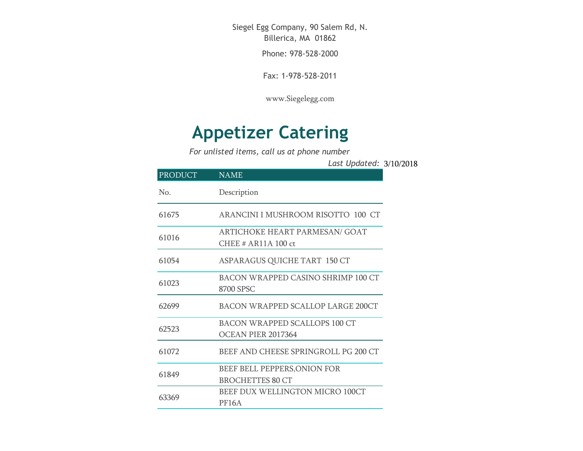Siegel Egg Company, 90 Salem Rd, N. Billerica, MA 01862

Phone: 978-528-2000

Fax: 1-978-528-2011

[www.Siegelegg.com](http://www.siegelegg.com/)

## **Appetizer Catering**

*For unlisted items, call us at phone number*

3/10/2018 *Last Updated:*

| <b>PRODUCT</b> | <b>NAME</b>                                                |
|----------------|------------------------------------------------------------|
| No.            | Description                                                |
| 61675          | ARANCINI I MUSHROOM RISOTTO 100 CT                         |
| 61016          | ARTICHOKE HEART PARMESAN/ GOAT<br>CHEE $# AR11A 100$ ct    |
| 61054          | ASPARAGUS QUICHE TART 150 CT                               |
| 61023          | BACON WRAPPED CASINO SHRIMP 100 CT<br>8700 SPSC            |
| 62699          | BACON WRAPPED SCALLOP LARGE 200CT                          |
| 62523          | <b>BACON WRAPPED SCALLOPS 100 CT</b><br>OCEAN PIER 2017364 |
| 61072          | BEEF AND CHEESE SPRINGROLL PG 200 CT                       |
| 61849          | BEEF BELL PEPPERS, ONION FOR<br><b>BROCHETTES 80 CT</b>    |
| 63369          | BEEF DUX WELLINGTON MICRO 100CT<br>PF16A                   |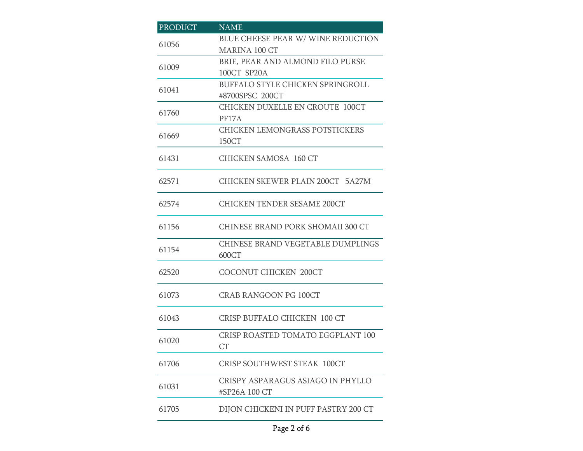| <b>PRODUCT</b> | <b>NAME</b>                                    |
|----------------|------------------------------------------------|
| 61056          | BLUE CHEESE PEAR W/WINE REDUCTION              |
|                | <b>MARINA 100 CT</b>                           |
| 61009          | BRIE, PEAR AND ALMOND FILO PURSE               |
|                | 100CT SP20A                                    |
| 61041          | BUFFALO STYLE CHICKEN SPRINGROLL               |
|                | #8700SPSC 200CT                                |
| 61760          | <b>CHICKEN DUXELLE EN CROUTE 100CT</b>         |
|                | PF17A                                          |
| 61669          | CHICKEN LEMONGRASS POTSTICKERS                 |
|                | 150CT                                          |
| 61431          | <b>CHICKEN SAMOSA 160 CT</b>                   |
| 62571          | CHICKEN SKEWER PLAIN 200CT 5A27M               |
|                |                                                |
| 62574          | <b>CHICKEN TENDER SESAME 200CT</b>             |
| 61156          | CHINESE BRAND PORK SHOMAII 300 CT              |
|                | CHINESE BRAND VEGETABLE DUMPLINGS              |
| 61154          | 600CT                                          |
| 62520          | <b>COCONUT CHICKEN 200CT</b>                   |
| 61073          | <b>CRAB RANGOON PG 100CT</b>                   |
| 61043          | <b>CRISP BUFFALO CHICKEN 100 CT</b>            |
|                |                                                |
| 61020          | CRISP ROASTED TOMATO EGGPLANT 100<br><b>CT</b> |
| 61706          | <b>CRISP SOUTHWEST STEAK 100CT</b>             |
| 61031          | CRISPY ASPARAGUS ASIAGO IN PHYLLO              |
|                | #SP26A 100 CT                                  |
| 61705          | DIJON CHICKENI IN PUFF PASTRY 200 CT           |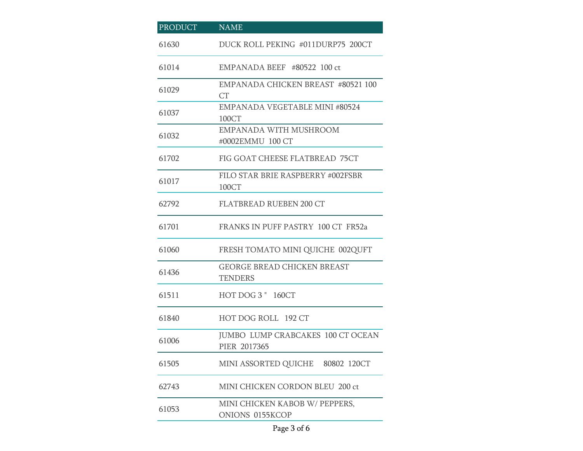| <b>PRODUCT</b> | <b>NAME</b>                                              |
|----------------|----------------------------------------------------------|
| 61630          | DUCK ROLL PEKING #011DURP75 200CT                        |
| 61014          | EMPANADA BEEF #80522 100 ct                              |
| 61029          | <b>EMPANADA CHICKEN BREAST #80521 100</b><br>CT          |
| 61037          | EMPANADA VEGETABLE MINI #80524<br>100CT                  |
| 61032          | EMPANADA WITH MUSHROOM<br>#0002EMMU 100 CT               |
| 61702          | FIG GOAT CHEESE FLATBREAD 75CT                           |
| 61017          | FILO STAR BRIE RASPBERRY #002FSBR<br>100CT               |
| 62792          | <b>FLATBREAD RUEBEN 200 CT</b>                           |
| 61701          | FRANKS IN PUFF PASTRY 100 CT FR52a                       |
| 61060          | FRESH TOMATO MINI QUICHE 002QUFT                         |
| 61436          | <b>GEORGE BREAD CHICKEN BREAST</b><br><b>TENDERS</b>     |
| 61511          | HOT DOG 3 " 160CT                                        |
| 61840          | HOT DOG ROLL 192 CT                                      |
| 61006          | <b>JUMBO LUMP CRABCAKES 100 CT OCEAN</b><br>PIER 2017365 |
| 61505          | MINI ASSORTED QUICHE 80802 120CT                         |
| 62743          | MINI CHICKEN CORDON BLEU 200 ct                          |
| 61053          | MINI CHICKEN KABOB W/ PEPPERS,<br>ONIONS 0155KCOP        |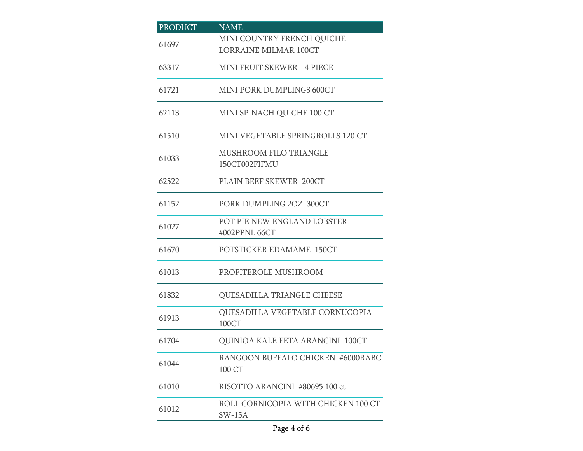| <b>PRODUCT</b> | <b>NAME</b>                                     |
|----------------|-------------------------------------------------|
| 61697          | MINI COUNTRY FRENCH QUICHE                      |
|                | <b>LORRAINE MILMAR 100CT</b>                    |
| 63317          | <b>MINI FRUIT SKEWER - 4 PIECE</b>              |
| 61721          | MINI PORK DUMPLINGS 600CT                       |
| 62113          | MINI SPINACH QUICHE 100 CT                      |
| 61510          | MINI VEGETABLE SPRINGROLLS 120 CT               |
| 61033          | MUSHROOM FILO TRIANGLE                          |
|                | 150CT002FIFMU                                   |
| 62522          | PLAIN BEEF SKEWER 200CT                         |
| 61152          | PORK DUMPLING 2OZ 300CT                         |
| 61027          | POT PIE NEW ENGLAND LOBSTER                     |
|                | #002PPNL 66CT                                   |
| 61670          | POTSTICKER EDAMAME 150CT                        |
| 61013          | PROFITEROLE MUSHROOM                            |
| 61832          | QUESADILLA TRIANGLE CHEESE                      |
| 61913          | QUESADILLA VEGETABLE CORNUCOPIA<br>100CT        |
|                |                                                 |
| 61704          | QUINIOA KALE FETA ARANCINI 100CT                |
| 61044          | RANGOON BUFFALO CHICKEN #6000RABC<br>100 CT     |
| 61010          | RISOTTO ARANCINI #80695 100 ct                  |
| 61012          | ROLL CORNICOPIA WITH CHICKEN 100 CT<br>$SW-15A$ |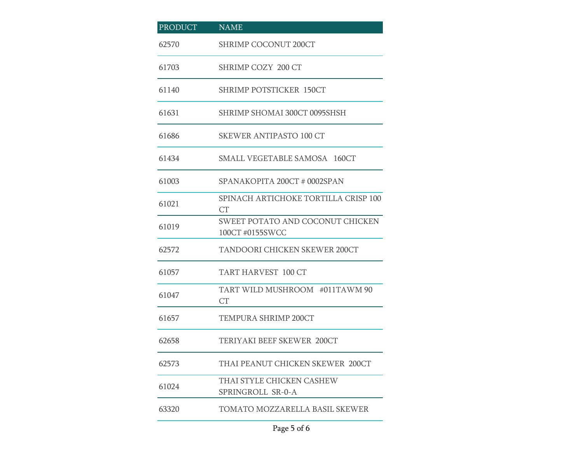| PRODUCT | <b>NAME</b>                                         |
|---------|-----------------------------------------------------|
| 62570   | <b>SHRIMP COCONUT 200CT</b>                         |
| 61703   | SHRIMP COZY 200 CT                                  |
| 61140   | <b>SHRIMP POTSTICKER 150CT</b>                      |
| 61631   | SHRIMP SHOMAI 300CT 0095SHSH                        |
| 61686   | <b>SKEWER ANTIPASTO 100 CT</b>                      |
| 61434   | SMALL VEGETABLE SAMOSA 160CT                        |
| 61003   | SPANAKOPITA 200CT # 0002SPAN                        |
| 61021   | SPINACH ARTICHOKE TORTILLA CRISP 100<br>CT          |
| 61019   | SWEET POTATO AND COCONUT CHICKEN<br>100CT #0155SWCC |
| 62572   | TANDOORI CHICKEN SKEWER 200CT                       |
| 61057   | TART HARVEST 100 CT                                 |
| 61047   | TART WILD MUSHROOM #011TAWM 90<br><b>CT</b>         |
| 61657   | TEMPURA SHRIMP 200CT                                |
| 62658   | TERIYAKI BEEF SKEWER 200CT                          |
| 62573   | THAI PEANUT CHICKEN SKEWER 200CT                    |
| 61024   | THAI STYLE CHICKEN CASHEW<br>SPRINGROLL SR-0-A      |
| 63320   | TOMATO MOZZARELLA BASIL SKEWER                      |